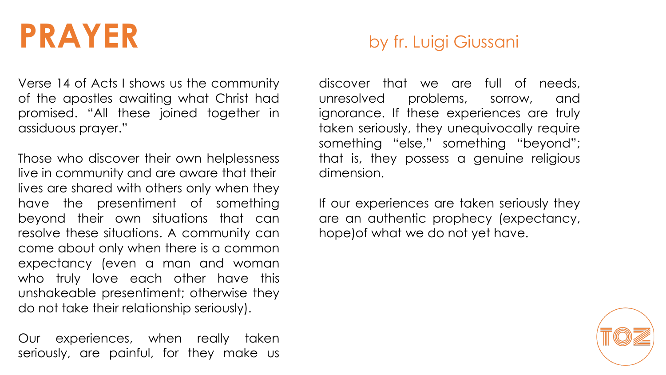## **PRAYER** by fr. Luigi Giussani

Verse 14 of Acts I shows us the community of the apostles awaiting what Christ had promised. "All these joined together in assiduous prayer."

Those who discover their own helplessness live in community and are aware that their lives are shared with others only when they have the presentiment of something beyond their own situations that can resolve these situations. A community can come about only when there is a common expectancy (even a man and woman who truly love each other have this unshakeable presentiment; otherwise they do not take their relationship seriously).

Our experiences, when really taken seriously, are painful, for they make us

discover that we are full of needs, unresolved problems, sorrow, and ignorance. If these experiences are truly taken seriously, they unequivocally require something "else," something "beyond"; that is, they possess a genuine religious dimension.

If our experiences are taken seriously they are an authentic prophecy (expectancy, hope)of what we do not yet have.